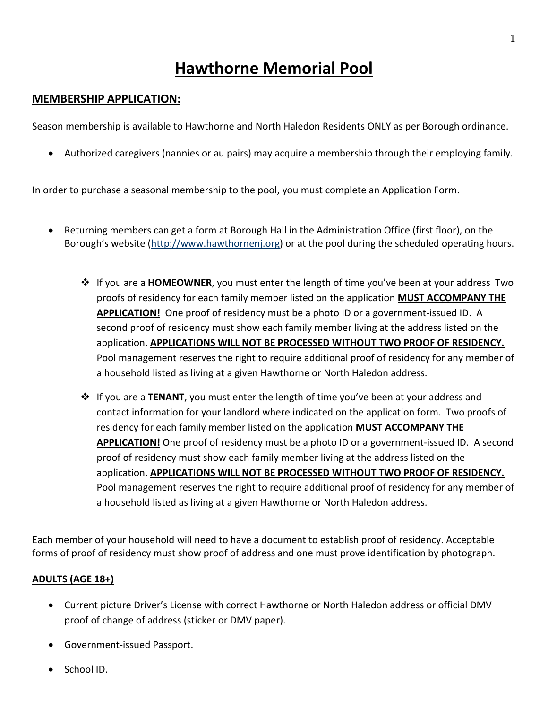# **Hawthorne Memorial Pool**

# **MEMBERSHIP APPLICATION:**

Season membership is available to Hawthorne and North Haledon Residents ONLY as per Borough ordinance.

• Authorized caregivers (nannies or au pairs) may acquire a membership through their employing family.

In order to purchase a seasonal membership to the pool, you must complete an Application Form.

- Returning members can get a form at Borough Hall in the Administration Office (first floor), on the Borough's website [\(http://www.hawthornenj.org\)](http://www.hawthornenj.org/) or at the pool during the scheduled operating hours.
	- If you are a **HOMEOWNER**, you must enter the length of time you've been at your address Two proofs of residency for each family member listed on the application **MUST ACCOMPANY THE APPLICATION!** One proof of residency must be a photo ID or a government-issued ID. A second proof of residency must show each family member living at the address listed on the application. **APPLICATIONS WILL NOT BE PROCESSED WITHOUT TWO PROOF OF RESIDENCY.** Pool management reserves the right to require additional proof of residency for any member of a household listed as living at a given Hawthorne or North Haledon address.
	- **<sup>❖</sup>** If you are a **TENANT**, you must enter the length of time you've been at your address and contact information for your landlord where indicated on the application form. Two proofs of residency for each family member listed on the application **MUST ACCOMPANY THE APPLICATION!** One proof of residency must be a photo ID or a government-issued ID. A second proof of residency must show each family member living at the address listed on the application. **APPLICATIONS WILL NOT BE PROCESSED WITHOUT TWO PROOF OF RESIDENCY.** Pool management reserves the right to require additional proof of residency for any member of a household listed as living at a given Hawthorne or North Haledon address.

Each member of your household will need to have a document to establish proof of residency. Acceptable forms of proof of residency must show proof of address and one must prove identification by photograph.

## **ADULTS (AGE 18+)**

- Current picture Driver's License with correct Hawthorne or North Haledon address or official DMV proof of change of address (sticker or DMV paper).
- Government-issued Passport.
- School ID.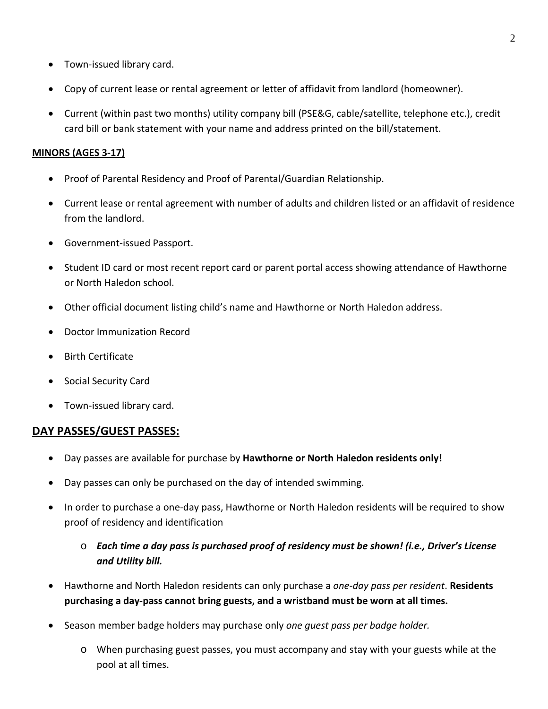- Town-issued library card.
- Copy of current lease or rental agreement or letter of affidavit from landlord (homeowner).
- Current (within past two months) utility company bill (PSE&G, cable/satellite, telephone etc.), credit card bill or bank statement with your name and address printed on the bill/statement.

#### **MINORS (AGES 3-17)**

- Proof of Parental Residency and Proof of Parental/Guardian Relationship.
- Current lease or rental agreement with number of adults and children listed or an affidavit of residence from the landlord.
- Government-issued Passport.
- Student ID card or most recent report card or parent portal access showing attendance of Hawthorne or North Haledon school.
- Other official document listing child's name and Hawthorne or North Haledon address.
- Doctor Immunization Record
- Birth Certificate
- Social Security Card
- Town-issued library card.

## **DAY PASSES/GUEST PASSES:**

- Day passes are available for purchase by **Hawthorne or North Haledon residents only!**
- Day passes can only be purchased on the day of intended swimming.
- In order to purchase a one-day pass, Hawthorne or North Haledon residents will be required to show proof of residency and identification
	- o *Each time a day pass is purchased proof of residency must be shown! (i.e., Driver's License and Utility bill.*
- Hawthorne and North Haledon residents can only purchase a *one-day pass per resident*. **Residents purchasing a day-pass cannot bring guests, and a wristband must be worn at all times.**
- Season member badge holders may purchase only *one guest pass per badge holder.*
	- o When purchasing guest passes, you must accompany and stay with your guests while at the pool at all times.